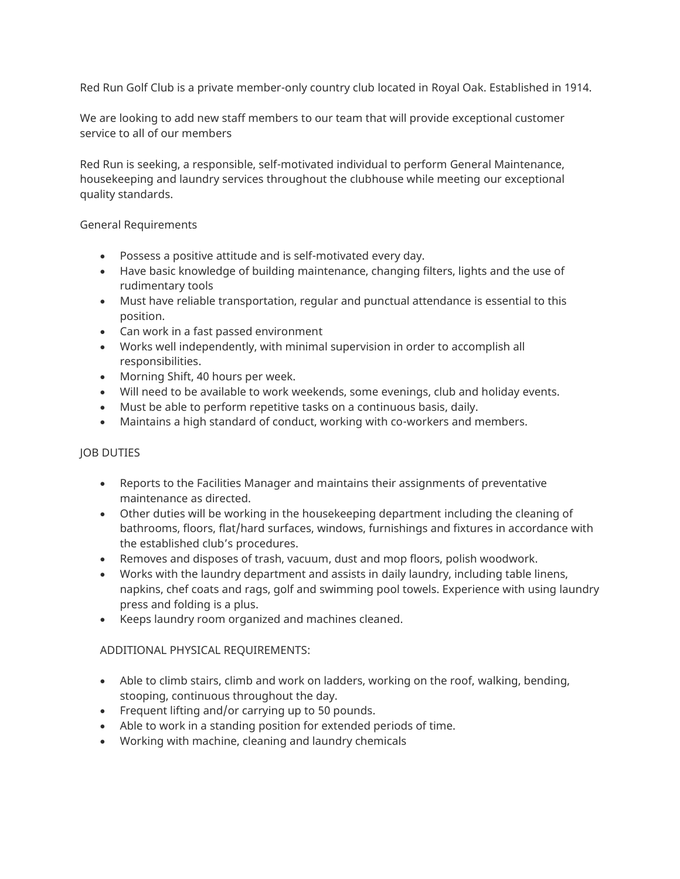Red Run Golf Club is a private member-only country club located in Royal Oak. Established in 1914.

We are looking to add new staff members to our team that will provide exceptional customer service to all of our members

Red Run is seeking, a responsible, self-motivated individual to perform General Maintenance, housekeeping and laundry services throughout the clubhouse while meeting our exceptional quality standards.

General Requirements

- Possess a positive attitude and is self-motivated every day.
- Have basic knowledge of building maintenance, changing filters, lights and the use of rudimentary tools
- Must have reliable transportation, regular and punctual attendance is essential to this position.
- Can work in a fast passed environment
- Works well independently, with minimal supervision in order to accomplish all responsibilities.
- Morning Shift, 40 hours per week.
- Will need to be available to work weekends, some evenings, club and holiday events.
- Must be able to perform repetitive tasks on a continuous basis, daily.
- Maintains a high standard of conduct, working with co-workers and members.

## JOB DUTIES

- Reports to the Facilities Manager and maintains their assignments of preventative maintenance as directed.
- Other duties will be working in the housekeeping department including the cleaning of bathrooms, floors, flat/hard surfaces, windows, furnishings and fixtures in accordance with the established club's procedures.
- Removes and disposes of trash, vacuum, dust and mop floors, polish woodwork.
- Works with the laundry department and assists in daily laundry, including table linens, napkins, chef coats and rags, golf and swimming pool towels. Experience with using laundry press and folding is a plus.
- Keeps laundry room organized and machines cleaned.

## ADDITIONAL PHYSICAL REQUIREMENTS:

- Able to climb stairs, climb and work on ladders, working on the roof, walking, bending, stooping, continuous throughout the day.
- Frequent lifting and/or carrying up to 50 pounds.
- Able to work in a standing position for extended periods of time.
- Working with machine, cleaning and laundry chemicals